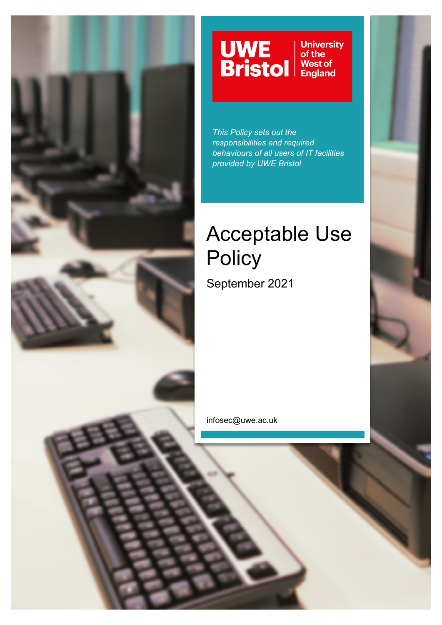

# **UWE**<br>Bristol **University**<br>of the **West of<br>England**

*This Policy sets out the responsibilities and required behaviours of all users of IT facilities provided by UWE Bristol*

# Acceptable Use **Policy**

September 2021

infosec@uwe.ac.uk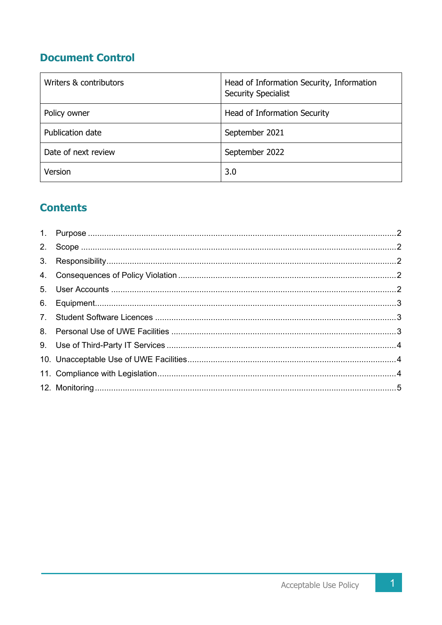# **Document Control**

| Writers & contributors | Head of Information Security, Information<br><b>Security Specialist</b> |
|------------------------|-------------------------------------------------------------------------|
| Policy owner           | Head of Information Security                                            |
| Publication date       | September 2021                                                          |
| Date of next review    | September 2022                                                          |
| Version                | 3.0                                                                     |

# **Contents**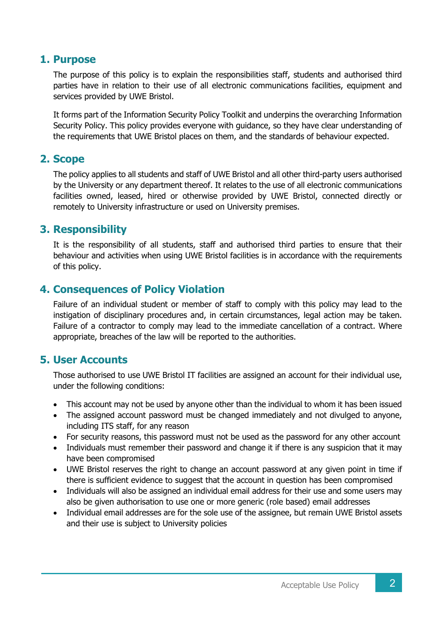#### **1. Purpose**

The purpose of this policy is to explain the responsibilities staff, students and authorised third parties have in relation to their use of all electronic communications facilities, equipment and services provided by UWE Bristol.

It forms part of the Information Security Policy Toolkit and underpins the overarching Information Security Policy. This policy provides everyone with guidance, so they have clear understanding of the requirements that UWE Bristol places on them, and the standards of behaviour expected.

## **2. Scope**

The policy applies to all students and staff of UWE Bristol and all other third-party users authorised by the University or any department thereof. It relates to the use of all electronic communications facilities owned, leased, hired or otherwise provided by UWE Bristol, connected directly or remotely to University infrastructure or used on University premises.

#### **3. Responsibility**

It is the responsibility of all students, staff and authorised third parties to ensure that their behaviour and activities when using UWE Bristol facilities is in accordance with the requirements of this policy.

## **4. Consequences of Policy Violation**

Failure of an individual student or member of staff to comply with this policy may lead to the instigation of disciplinary procedures and, in certain circumstances, legal action may be taken. Failure of a contractor to comply may lead to the immediate cancellation of a contract. Where appropriate, breaches of the law will be reported to the authorities.

#### **5. User Accounts**

Those authorised to use UWE Bristol IT facilities are assigned an account for their individual use, under the following conditions:

- This account may not be used by anyone other than the individual to whom it has been issued
- The assigned account password must be changed immediately and not divulged to anyone, including ITS staff, for any reason
- For security reasons, this password must not be used as the password for any other account
- Individuals must remember their password and change it if there is any suspicion that it may have been compromised
- UWE Bristol reserves the right to change an account password at any given point in time if there is sufficient evidence to suggest that the account in question has been compromised
- Individuals will also be assigned an individual email address for their use and some users may also be given authorisation to use one or more generic (role based) email addresses
- Individual email addresses are for the sole use of the assignee, but remain UWE Bristol assets and their use is subject to University policies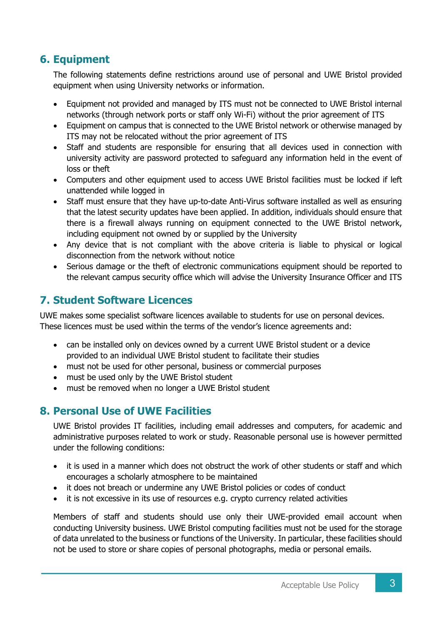# **6. Equipment**

The following statements define restrictions around use of personal and UWE Bristol provided equipment when using University networks or information.

- Equipment not provided and managed by ITS must not be connected to UWE Bristol internal networks (through network ports or staff only Wi-Fi) without the prior agreement of ITS
- Equipment on campus that is connected to the UWE Bristol network or otherwise managed by ITS may not be relocated without the prior agreement of ITS
- Staff and students are responsible for ensuring that all devices used in connection with university activity are password protected to safeguard any information held in the event of loss or theft
- Computers and other equipment used to access UWE Bristol facilities must be locked if left unattended while logged in
- Staff must ensure that they have up-to-date Anti-Virus software installed as well as ensuring that the latest security updates have been applied. In addition, individuals should ensure that there is a firewall always running on equipment connected to the UWE Bristol network, including equipment not owned by or supplied by the University
- Any device that is not compliant with the above criteria is liable to physical or logical disconnection from the network without notice
- Serious damage or the theft of electronic communications equipment should be reported to the relevant campus security office which will advise the University Insurance Officer and ITS

# **7. Student Software Licences**

UWE makes some specialist software licences available to students for use on personal devices. These licences must be used within the terms of the vendor's licence agreements and:

- can be installed only on devices owned by a current UWE Bristol student or a device provided to an individual UWE Bristol student to facilitate their studies
- must not be used for other personal, business or commercial purposes
- must be used only by the UWE Bristol student
- must be removed when no longer a UWE Bristol student

# **8. Personal Use of UWE Facilities**

UWE Bristol provides IT facilities, including email addresses and computers, for academic and administrative purposes related to work or study. Reasonable personal use is however permitted under the following conditions:

- it is used in a manner which does not obstruct the work of other students or staff and which encourages a scholarly atmosphere to be maintained
- it does not breach or undermine any UWE Bristol policies or codes of conduct
- it is not excessive in its use of resources e.g. crypto currency related activities

Members of staff and students should use only their UWE-provided email account when conducting University business. UWE Bristol computing facilities must not be used for the storage of data unrelated to the business or functions of the University. In particular, these facilities should not be used to store or share copies of personal photographs, media or personal emails.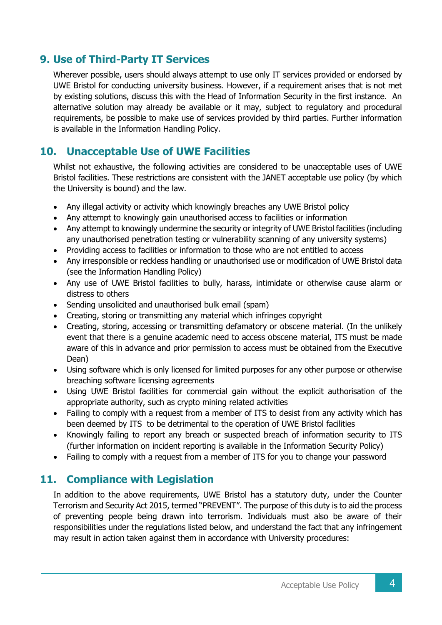## **9. Use of Third-Party IT Services**

Wherever possible, users should always attempt to use only IT services provided or endorsed by UWE Bristol for conducting university business. However, if a requirement arises that is not met by existing solutions, discuss this with the Head of Information Security in the first instance. An alternative solution may already be available or it may, subject to regulatory and procedural requirements, be possible to make use of services provided by third parties. Further information is available in the Information Handling Policy.

## **10. Unacceptable Use of UWE Facilities**

Whilst not exhaustive, the following activities are considered to be unacceptable uses of UWE Bristol facilities. These restrictions are consistent with the JANET acceptable use policy (by which the University is bound) and the law.

- Any illegal activity or activity which knowingly breaches any UWE Bristol policy
- Any attempt to knowingly gain unauthorised access to facilities or information
- Any attempt to knowingly undermine the security or integrity of UWE Bristol facilities (including any unauthorised penetration testing or vulnerability scanning of any university systems)
- Providing access to facilities or information to those who are not entitled to access
- Any irresponsible or reckless handling or unauthorised use or modification of UWE Bristol data (see the Information Handling Policy)
- Any use of UWE Bristol facilities to bully, harass, intimidate or otherwise cause alarm or distress to others
- Sending unsolicited and unauthorised bulk email (spam)
- Creating, storing or transmitting any material which infringes copyright
- Creating, storing, accessing or transmitting defamatory or obscene material. (In the unlikely event that there is a genuine academic need to access obscene material, ITS must be made aware of this in advance and prior permission to access must be obtained from the Executive Dean)
- Using software which is only licensed for limited purposes for any other purpose or otherwise breaching software licensing agreements
- Using UWE Bristol facilities for commercial gain without the explicit authorisation of the appropriate authority, such as crypto mining related activities
- Failing to comply with a request from a member of ITS to desist from any activity which has been deemed by ITS to be detrimental to the operation of UWE Bristol facilities
- Knowingly failing to report any breach or suspected breach of information security to ITS (further information on incident reporting is available in the Information Security Policy)
- Failing to comply with a request from a member of ITS for you to change your password

#### **11. Compliance with Legislation**

In addition to the above requirements, UWE Bristol has a statutory duty, under the Counter Terrorism and Security Act 2015, termed "PREVENT". The purpose of this duty is to aid the process of preventing people being drawn into terrorism. Individuals must also be aware of their responsibilities under the regulations listed below, and understand the fact that any infringement may result in action taken against them in accordance with University procedures: